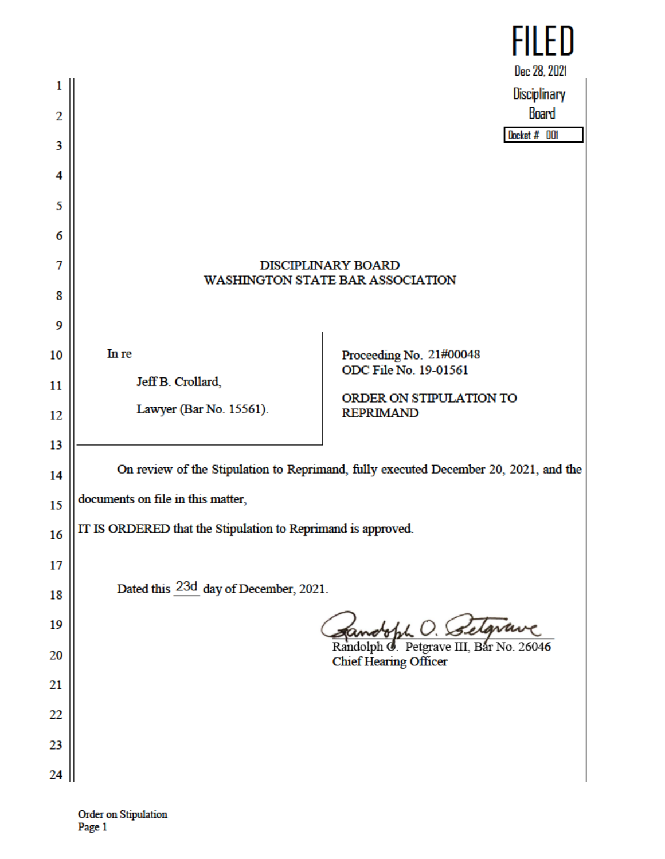|    |                                                                                      | FILED                                            |
|----|--------------------------------------------------------------------------------------|--------------------------------------------------|
|    |                                                                                      | Dec 28, 2021                                     |
| 1  |                                                                                      | <b>Disciplinary</b>                              |
| 2  |                                                                                      | <b>Board</b>                                     |
| 3  |                                                                                      | Docket # 001                                     |
| 4  |                                                                                      |                                                  |
|    |                                                                                      |                                                  |
| 5  |                                                                                      |                                                  |
| 6  |                                                                                      |                                                  |
| 7  | <b>DISCIPLINARY BOARD</b><br><b>WASHINGTON STATE BAR ASSOCIATION</b>                 |                                                  |
| 8  |                                                                                      |                                                  |
| 9  |                                                                                      |                                                  |
|    | In re                                                                                |                                                  |
| 10 |                                                                                      | Proceeding No. 21#00048<br>ODC File No. 19-01561 |
| 11 | Jeff B. Crollard,                                                                    | ORDER ON STIPULATION TO                          |
| 12 | Lawyer (Bar No. 15561).                                                              | <b>REPRIMAND</b>                                 |
| 13 |                                                                                      |                                                  |
| 14 | On review of the Stipulation to Reprimand, fully executed December 20, 2021, and the |                                                  |
|    | documents on file in this matter,                                                    |                                                  |
| 15 |                                                                                      |                                                  |
| 16 | IT IS ORDERED that the Stipulation to Reprimand is approved.                         |                                                  |
| 17 |                                                                                      |                                                  |
| 18 | Dated this 23d day of December, 2021.                                                |                                                  |
| 19 |                                                                                      |                                                  |
|    |                                                                                      | Randolph <b>J</b> . Petgrave III, Bar No. 26046  |
| 20 |                                                                                      | <b>Chief Hearing Officer</b>                     |
| 21 |                                                                                      |                                                  |
| 22 |                                                                                      |                                                  |
| 23 |                                                                                      |                                                  |
| 24 |                                                                                      |                                                  |